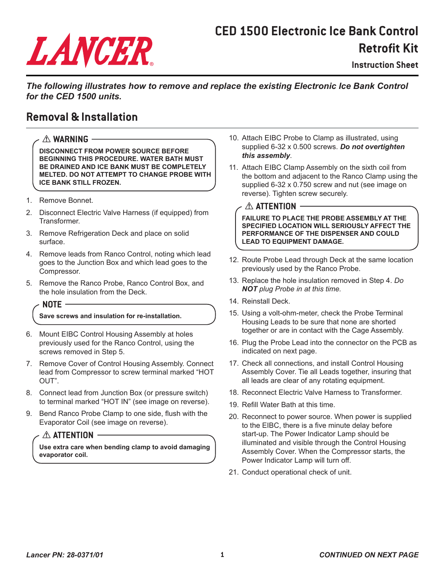# LANCER

## **CED 1500 Electronic Ice Bank Control Retrofit Kit**

**Instruction Sheet**

*The following illustrates how to remove and replace the existing Electronic Ice Bank Control for the CED 1500 units.*

### **Removal & Installation**

#### ! **WARNING**

**DISCONNECT FROM POWER SOURCE BEFORE BEGINNING THIS PROCEDURE. WATER BATH MUST BE DRAINED AND ICE BANK MUST BE COMPLETELY MELTED. DO NOT ATTEMPT TO CHANGE PROBE WITH ICE BANK STILL FROZEN.**

- 1. Remove Bonnet.
- 2. Disconnect Electric Valve Harness (if equipped) from Transformer.
- 3. Remove Refrigeration Deck and place on solid surface.
- 4. Remove leads from Ranco Control, noting which lead goes to the Junction Box and which lead goes to the Compressor.
- 5. Remove the Ranco Probe, Ranco Control Box, and the hole insulation from the Deck.

#### **NOTE**

#### **Save screws and insulation for re-installation.**

- 6. Mount EIBC Control Housing Assembly at holes previously used for the Ranco Control, using the screws removed in Step 5.
- 7. Remove Cover of Control Housing Assembly. Connect lead from Compressor to screw terminal marked "HOT OUT".
- 8. Connect lead from Junction Box (or pressure switch) to terminal marked "HOT IN" (see image on reverse).
- 9. Bend Ranco Probe Clamp to one side, flush with the Evaporator Coil (see image on reverse).

#### $\triangle$  attention  $-$

**Use extra care when bending clamp to avoid damaging evaporator coil.**

- 10. Attach EIBC Probe to Clamp as illustrated, using supplied 6-32 x 0.500 screws. *Do not overtighten this assembly*.
- 11. Attach EIBC Clamp Assembly on the sixth coil from the bottom and adjacent to the Ranco Clamp using the supplied 6-32 x 0.750 screw and nut (see image on reverse). Tighten screw securely.

#### $\triangle$  ATTENTION ·

**FAILURE TO PLACE THE PROBE ASSEMBLY AT THE SPECIFIED LOCATION WILL SERIOUSLY AFFECT THE PERFORMANCE OF THE DISPENSER AND COULD LEAD TO EQUIPMENT DAMAGE.**

- 12. Route Probe Lead through Deck at the same location previously used by the Ranco Probe.
- 13. Replace the hole insulation removed in Step 4. *Do NOT plug Probe in at this time.*
- 14. Reinstall Deck.
- 15. Using a volt-ohm-meter, check the Probe Terminal Housing Leads to be sure that none are shorted together or are in contact with the Cage Assembly.
- 16. Plug the Probe Lead into the connector on the PCB as indicated on next page.
- 17. Check all connections, and install Control Housing Assembly Cover. Tie all Leads together, insuring that all leads are clear of any rotating equipment.
- 18. Reconnect Electric Valve Harness to Transformer.
- 19. Refill Water Bath at this time.
- 20. Reconnect to power source. When power is supplied to the EIBC, there is a five minute delay before start-up. The Power Indicator Lamp should be illuminated and visible through the Control Housing Assembly Cover. When the Compressor starts, the Power Indicator Lamp will turn off.
- 21. Conduct operational check of unit.